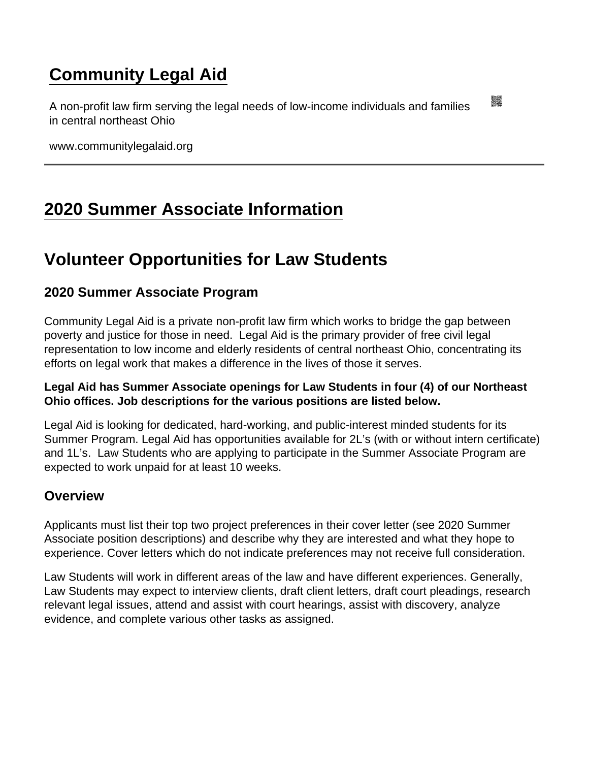# [Community Legal Aid](https://www.communitylegalaid.org/)

A non-profit law firm serving the legal needs of low-income individuals and families in central northeast Ohio

www.communitylegalaid.org

# [2020 Summer Associate Information](https://www.communitylegalaid.org/2020-summer-associate)

# Volunteer Opportunities for Law Students

## 2020 Summer Associate Program

Community Legal Aid is a private non-profit law firm which works to bridge the gap between poverty and justice for those in need. Legal Aid is the primary provider of free civil legal representation to low income and elderly residents of central northeast Ohio, concentrating its efforts on legal work that makes a difference in the lives of those it serves.

Legal Aid has Summer Associate openings for Law Students in four (4) of our Northeast Ohio offices. Job descriptions for the various positions are listed below.

Legal Aid is looking for dedicated, hard-working, and public-interest minded students for its Summer Program. Legal Aid has opportunities available for 2L's (with or without intern certificate) and 1L's. Law Students who are applying to participate in the Summer Associate Program are expected to work unpaid for at least 10 weeks.

#### **Overview**

Applicants must list their top two project preferences in their cover letter (see 2020 Summer Associate position descriptions) and describe why they are interested and what they hope to experience. Cover letters which do not indicate preferences may not receive full consideration.

Law Students will work in different areas of the law and have different experiences. Generally, Law Students may expect to interview clients, draft client letters, draft court pleadings, research relevant legal issues, attend and assist with court hearings, assist with discovery, analyze evidence, and complete various other tasks as assigned.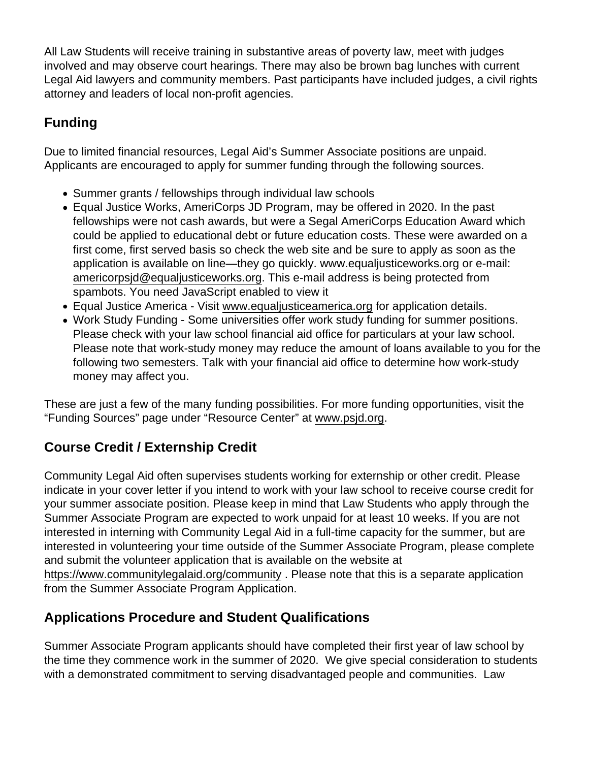All Law Students will receive training in substantive areas of poverty law, meet with judges involved and may observe court hearings. There may also be brown bag lunches with current Legal Aid lawyers and community members. Past participants have included judges, a civil rights attorney and leaders of local non-profit agencies.

## Funding

Due to limited financial resources, Legal Aid's Summer Associate positions are unpaid. Applicants are encouraged to apply for summer funding through the following sources.

- Summer grants / fellowships through individual law schools
- Equal Justice Works, AmeriCorps JD Program, may be offered in 2020. In the past fellowships were not cash awards, but were a Segal AmeriCorps Education Award which could be applied to educational debt or future education costs. These were awarded on a first come, first served basis so check the web site and be sure to apply as soon as the application is available on line—they go quickly. [www.equaljusticeworks.org](http://www.equaljusticeworks.org) or e-mail: [americorpsjd@equaljusticeworks.org](mailto:americorpsjd@equaljusticeworks.org). This e-mail address is being protected from spambots. You need JavaScript enabled to view it
- Equal Justice America Visit [www.equaljusticeamerica.org](http://www.equaljusticeamerica.org) for application details.
- Work Study Funding Some universities offer work study funding for summer positions. Please check with your law school financial aid office for particulars at your law school. Please note that work-study money may reduce the amount of loans available to you for the following two semesters. Talk with your financial aid office to determine how work-study money may affect you.

These are just a few of the many funding possibilities. For more funding opportunities, visit the "Funding Sources" page under "Resource Center" at [www.psjd.org](http://www.psjd.org).

# Course Credit / Externship Credit

Community Legal Aid often supervises students working for externship or other credit. Please indicate in your cover letter if you intend to work with your law school to receive course credit for your summer associate position. Please keep in mind that Law Students who apply through the Summer Associate Program are expected to work unpaid for at least 10 weeks. If you are not interested in interning with Community Legal Aid in a full-time capacity for the summer, but are interested in volunteering your time outside of the Summer Associate Program, please complete and submit the volunteer application that is available on the website at <https://www.communitylegalaid.org/community>. Please note that this is a separate application from the Summer Associate Program Application.

## Applications Procedure and Student Qualifications

Summer Associate Program applicants should have completed their first year of law school by the time they commence work in the summer of 2020. We give special consideration to students with a demonstrated commitment to serving disadvantaged people and communities. Law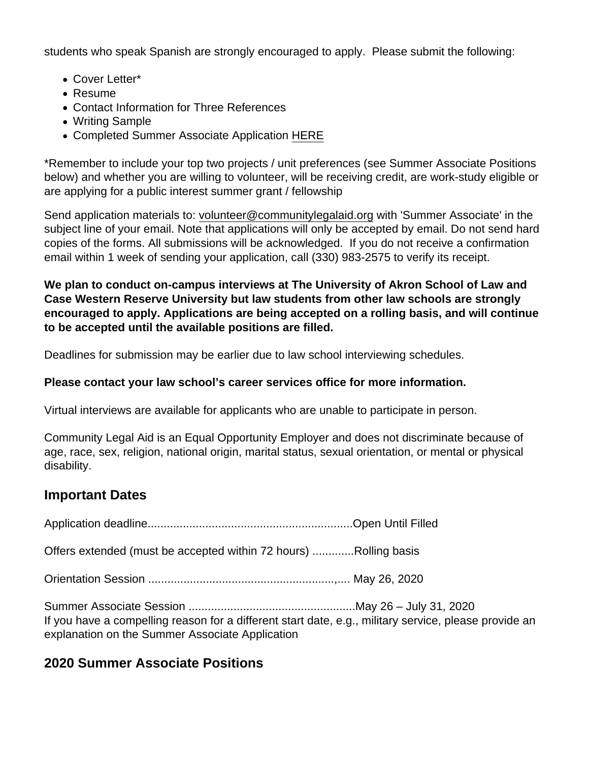students who speak Spanish are strongly encouraged to apply. Please submit the following:

- Cover Letter\*
- Resume
- Contact Information for Three References
- Writing Sample
- Completed Summer Associate Application [HERE](https://www.communitylegalaid.org/sites/communitylegalaid.org/files/2020 Summer Associate Application Fillable.pdf)

\*Remember to include your top two projects / unit preferences (see Summer Associate Positions below) and whether you are willing to volunteer, will be receiving credit, are work-study eligible or are applying for a public interest summer grant / fellowship

Send application materials to: [volunteer@communitylegalaid.org](mailto:volunteer@communitylegalaid.org) with 'Summer Associate' in the subject line of your email. Note that applications will only be accepted by email. Do not send hard copies of the forms. All submissions will be acknowledged. If you do not receive a confirmation email within 1 week of sending your application, call (330) 983-2575 to verify its receipt.

We plan to conduct on-campus interviews at The University of Akron School of Law and Case Western Reserve University but law students from other law schools are strongly encouraged to apply. Applications are being accepted on a rolling basis, and will continue to be accepted until the available positions are filled.

Deadlines for submission may be earlier due to law school interviewing schedules.

Please contact your law school's career services office for more information.

Virtual interviews are available for applicants who are unable to participate in person.

Community Legal Aid is an Equal Opportunity Employer and does not discriminate because of age, race, sex, religion, national origin, marital status, sexual orientation, or mental or physical disability.

## Important Dates

Application deadline................................................................Open Until Filled

Offers extended (must be accepted within 72 hours) .............Rolling basis

Orientation Session ..........................................................,.... May 26, 2020

Summer Associate Session ....................................................May 26 – July 31, 2020 If you have a compelling reason for a different start date, e.g., military service, please provide an explanation on the Summer Associate Application

2020 Summer Associate Positions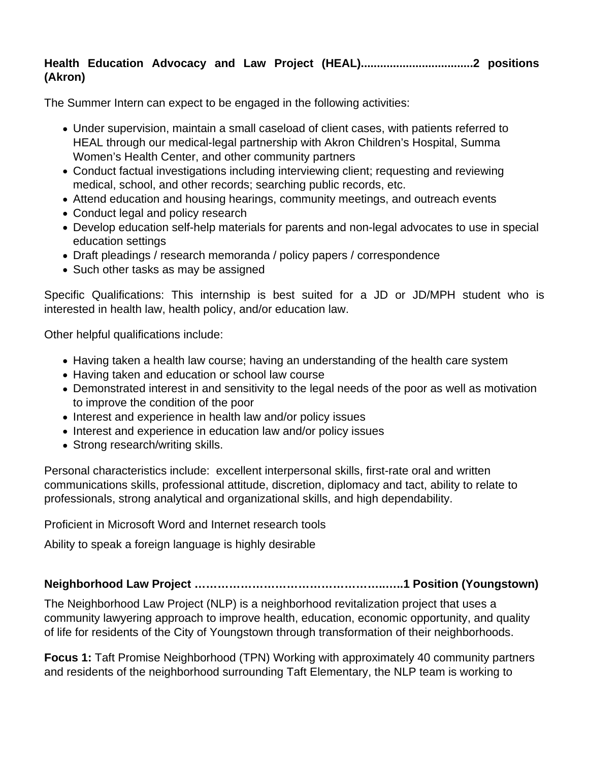#### **Health Education Advocacy and Law Project (HEAL)...................................2 positions (Akron)**

The Summer Intern can expect to be engaged in the following activities:

- Under supervision, maintain a small caseload of client cases, with patients referred to HEAL through our medical-legal partnership with Akron Children's Hospital, Summa Women's Health Center, and other community partners
- Conduct factual investigations including interviewing client; requesting and reviewing medical, school, and other records; searching public records, etc.
- Attend education and housing hearings, community meetings, and outreach events
- Conduct legal and policy research
- Develop education self-help materials for parents and non-legal advocates to use in special education settings
- Draft pleadings / research memoranda / policy papers / correspondence
- Such other tasks as may be assigned

Specific Qualifications: This internship is best suited for a JD or JD/MPH student who is interested in health law, health policy, and/or education law.

Other helpful qualifications include:

- Having taken a health law course; having an understanding of the health care system
- Having taken and education or school law course
- Demonstrated interest in and sensitivity to the legal needs of the poor as well as motivation to improve the condition of the poor
- Interest and experience in health law and/or policy issues
- Interest and experience in education law and/or policy issues
- Strong research/writing skills.

Personal characteristics include: excellent interpersonal skills, first-rate oral and written communications skills, professional attitude, discretion, diplomacy and tact, ability to relate to professionals, strong analytical and organizational skills, and high dependability.

Proficient in Microsoft Word and Internet research tools

Ability to speak a foreign language is highly desirable

#### **Neighborhood Law Project …………………………………………..…..1 Position (Youngstown)**

The Neighborhood Law Project (NLP) is a neighborhood revitalization project that uses a community lawyering approach to improve health, education, economic opportunity, and quality of life for residents of the City of Youngstown through transformation of their neighborhoods.

**Focus 1:** Taft Promise Neighborhood (TPN) Working with approximately 40 community partners and residents of the neighborhood surrounding Taft Elementary, the NLP team is working to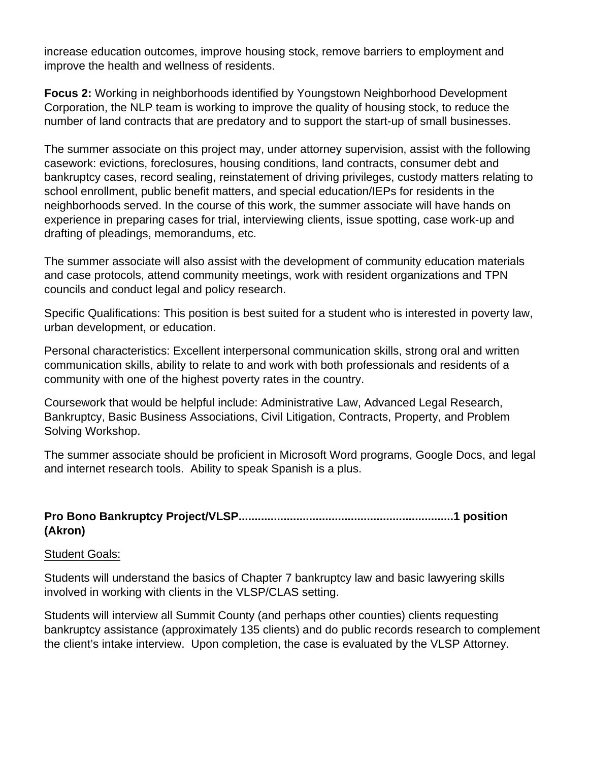increase education outcomes, improve housing stock, remove barriers to employment and improve the health and wellness of residents.

**Focus 2:** Working in neighborhoods identified by Youngstown Neighborhood Development Corporation, the NLP team is working to improve the quality of housing stock, to reduce the number of land contracts that are predatory and to support the start-up of small businesses.

The summer associate on this project may, under attorney supervision, assist with the following casework: evictions, foreclosures, housing conditions, land contracts, consumer debt and bankruptcy cases, record sealing, reinstatement of driving privileges, custody matters relating to school enrollment, public benefit matters, and special education/IEPs for residents in the neighborhoods served. In the course of this work, the summer associate will have hands on experience in preparing cases for trial, interviewing clients, issue spotting, case work-up and drafting of pleadings, memorandums, etc.

The summer associate will also assist with the development of community education materials and case protocols, attend community meetings, work with resident organizations and TPN councils and conduct legal and policy research.

Specific Qualifications: This position is best suited for a student who is interested in poverty law, urban development, or education.

Personal characteristics: Excellent interpersonal communication skills, strong oral and written communication skills, ability to relate to and work with both professionals and residents of a community with one of the highest poverty rates in the country.

Coursework that would be helpful include: Administrative Law, Advanced Legal Research, Bankruptcy, Basic Business Associations, Civil Litigation, Contracts, Property, and Problem Solving Workshop.

The summer associate should be proficient in Microsoft Word programs, Google Docs, and legal and internet research tools. Ability to speak Spanish is a plus.

#### **Pro Bono Bankruptcy Project/VLSP...................................................................1 position (Akron)**

#### Student Goals:

Students will understand the basics of Chapter 7 bankruptcy law and basic lawyering skills involved in working with clients in the VLSP/CLAS setting.

Students will interview all Summit County (and perhaps other counties) clients requesting bankruptcy assistance (approximately 135 clients) and do public records research to complement the client's intake interview. Upon completion, the case is evaluated by the VLSP Attorney.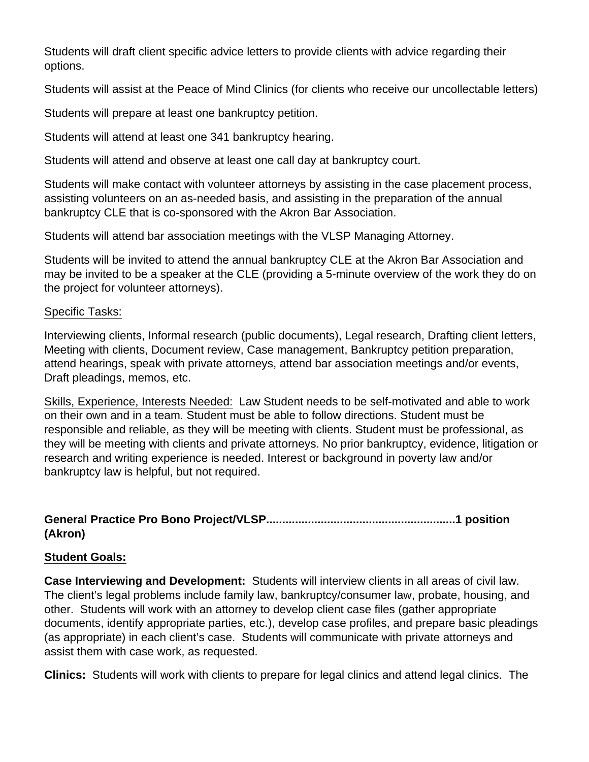Students will draft client specific advice letters to provide clients with advice regarding their options.

Students will assist at the Peace of Mind Clinics (for clients who receive our uncollectable letters)

Students will prepare at least one bankruptcy petition.

Students will attend at least one 341 bankruptcy hearing.

Students will attend and observe at least one call day at bankruptcy court.

Students will make contact with volunteer attorneys by assisting in the case placement process, assisting volunteers on an as-needed basis, and assisting in the preparation of the annual bankruptcy CLE that is co-sponsored with the Akron Bar Association.

Students will attend bar association meetings with the VLSP Managing Attorney.

Students will be invited to attend the annual bankruptcy CLE at the Akron Bar Association and may be invited to be a speaker at the CLE (providing a 5-minute overview of the work they do on the project for volunteer attorneys).

#### Specific Tasks:

Interviewing clients, Informal research (public documents), Legal research, Drafting client letters, Meeting with clients, Document review, Case management, Bankruptcy petition preparation, attend hearings, speak with private attorneys, attend bar association meetings and/or events, Draft pleadings, memos, etc.

Skills, Experience, Interests Needed: Law Student needs to be self-motivated and able to work on their own and in a team. Student must be able to follow directions. Student must be responsible and reliable, as they will be meeting with clients. Student must be professional, as they will be meeting with clients and private attorneys. No prior bankruptcy, evidence, litigation or research and writing experience is needed. Interest or background in poverty law and/or bankruptcy law is helpful, but not required.

#### **General Practice Pro Bono Project/VLSP...........................................................1 position (Akron)**

#### **Student Goals:**

**Case Interviewing and Development:** Students will interview clients in all areas of civil law. The client's legal problems include family law, bankruptcy/consumer law, probate, housing, and other. Students will work with an attorney to develop client case files (gather appropriate documents, identify appropriate parties, etc.), develop case profiles, and prepare basic pleadings (as appropriate) in each client's case. Students will communicate with private attorneys and assist them with case work, as requested.

**Clinics:** Students will work with clients to prepare for legal clinics and attend legal clinics. The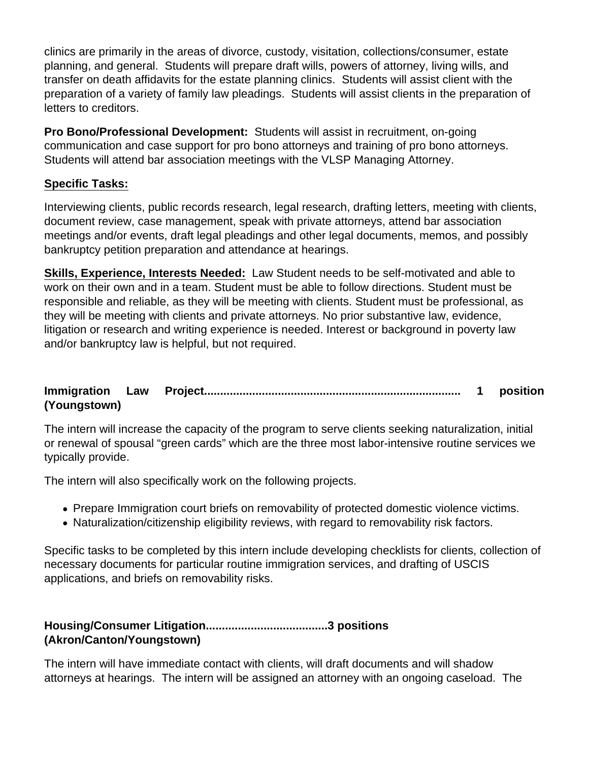clinics are primarily in the areas of divorce, custody, visitation, collections/consumer, estate planning, and general. Students will prepare draft wills, powers of attorney, living wills, and transfer on death affidavits for the estate planning clinics. Students will assist client with the preparation of a variety of family law pleadings. Students will assist clients in the preparation of letters to creditors.

**Pro Bono/Professional Development:** Students will assist in recruitment, on-going communication and case support for pro bono attorneys and training of pro bono attorneys. Students will attend bar association meetings with the VLSP Managing Attorney.

#### **Specific Tasks:**

Interviewing clients, public records research, legal research, drafting letters, meeting with clients, document review, case management, speak with private attorneys, attend bar association meetings and/or events, draft legal pleadings and other legal documents, memos, and possibly bankruptcy petition preparation and attendance at hearings.

**Skills, Experience, Interests Needed:** Law Student needs to be self-motivated and able to work on their own and in a team. Student must be able to follow directions. Student must be responsible and reliable, as they will be meeting with clients. Student must be professional, as they will be meeting with clients and private attorneys. No prior substantive law, evidence, litigation or research and writing experience is needed. Interest or background in poverty law and/or bankruptcy law is helpful, but not required.

#### **Immigration Law Project................................................................................ 1 position (Youngstown)**

The intern will increase the capacity of the program to serve clients seeking naturalization, initial or renewal of spousal "green cards" which are the three most labor-intensive routine services we typically provide.

The intern will also specifically work on the following projects.

- Prepare Immigration court briefs on removability of protected domestic violence victims.
- Naturalization/citizenship eligibility reviews, with regard to removability risk factors.

Specific tasks to be completed by this intern include developing checklists for clients, collection of necessary documents for particular routine immigration services, and drafting of USCIS applications, and briefs on removability risks.

#### **Housing/Consumer Litigation......................................3 positions (Akron/Canton/Youngstown)**

The intern will have immediate contact with clients, will draft documents and will shadow attorneys at hearings. The intern will be assigned an attorney with an ongoing caseload. The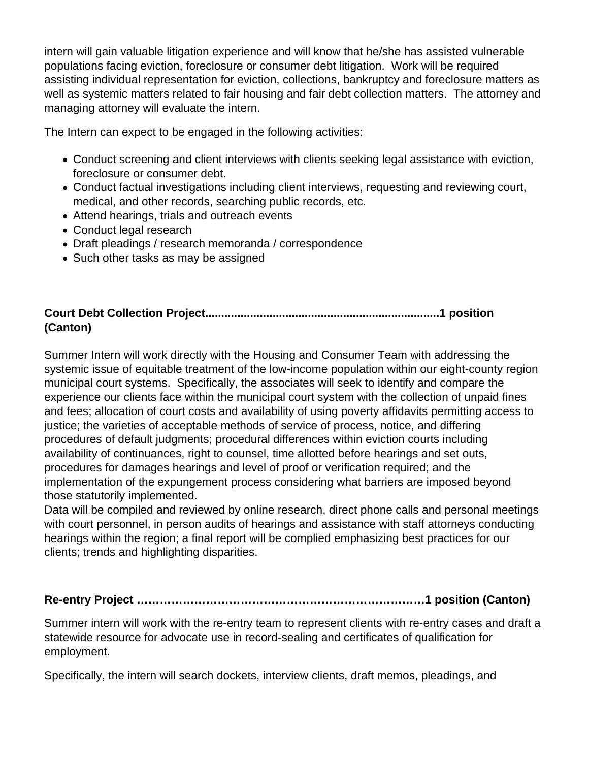intern will gain valuable litigation experience and will know that he/she has assisted vulnerable populations facing eviction, foreclosure or consumer debt litigation. Work will be required assisting individual representation for eviction, collections, bankruptcy and foreclosure matters as well as systemic matters related to fair housing and fair debt collection matters. The attorney and managing attorney will evaluate the intern.

The Intern can expect to be engaged in the following activities:

- Conduct screening and client interviews with clients seeking legal assistance with eviction, foreclosure or consumer debt.
- Conduct factual investigations including client interviews, requesting and reviewing court, medical, and other records, searching public records, etc.
- Attend hearings, trials and outreach events
- Conduct legal research
- Draft pleadings / research memoranda / correspondence
- Such other tasks as may be assigned

#### **Court Debt Collection Project.........................................................................1 position (Canton)**

Summer Intern will work directly with the Housing and Consumer Team with addressing the systemic issue of equitable treatment of the low-income population within our eight-county region municipal court systems. Specifically, the associates will seek to identify and compare the experience our clients face within the municipal court system with the collection of unpaid fines and fees; allocation of court costs and availability of using poverty affidavits permitting access to justice; the varieties of acceptable methods of service of process, notice, and differing procedures of default judgments; procedural differences within eviction courts including availability of continuances, right to counsel, time allotted before hearings and set outs, procedures for damages hearings and level of proof or verification required; and the implementation of the expungement process considering what barriers are imposed beyond those statutorily implemented.

Data will be compiled and reviewed by online research, direct phone calls and personal meetings with court personnel, in person audits of hearings and assistance with staff attorneys conducting hearings within the region; a final report will be complied emphasizing best practices for our clients; trends and highlighting disparities.

## **Re-entry Project …………………………………………………………………1 position (Canton)**

Summer intern will work with the re-entry team to represent clients with re-entry cases and draft a statewide resource for advocate use in record-sealing and certificates of qualification for employment.

Specifically, the intern will search dockets, interview clients, draft memos, pleadings, and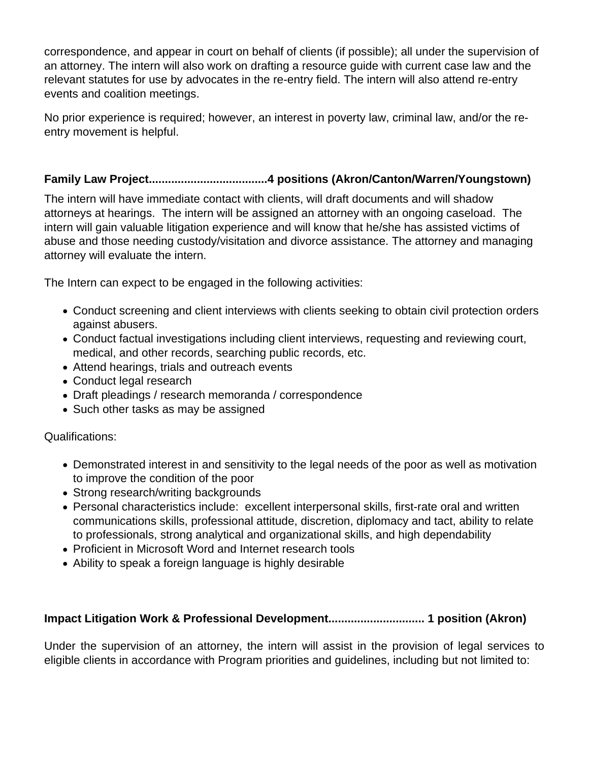correspondence, and appear in court on behalf of clients (if possible); all under the supervision of an attorney. The intern will also work on drafting a resource guide with current case law and the relevant statutes for use by advocates in the re-entry field. The intern will also attend re-entry events and coalition meetings.

No prior experience is required; however, an interest in poverty law, criminal law, and/or the reentry movement is helpful.

#### **Family Law Project.....................................4 positions (Akron/Canton/Warren/Youngstown)**

The intern will have immediate contact with clients, will draft documents and will shadow attorneys at hearings. The intern will be assigned an attorney with an ongoing caseload. The intern will gain valuable litigation experience and will know that he/she has assisted victims of abuse and those needing custody/visitation and divorce assistance. The attorney and managing attorney will evaluate the intern.

The Intern can expect to be engaged in the following activities:

- Conduct screening and client interviews with clients seeking to obtain civil protection orders against abusers.
- Conduct factual investigations including client interviews, requesting and reviewing court, medical, and other records, searching public records, etc.
- Attend hearings, trials and outreach events
- Conduct legal research
- Draft pleadings / research memoranda / correspondence
- Such other tasks as may be assigned

#### Qualifications:

- Demonstrated interest in and sensitivity to the legal needs of the poor as well as motivation to improve the condition of the poor
- Strong research/writing backgrounds
- Personal characteristics include: excellent interpersonal skills, first-rate oral and written communications skills, professional attitude, discretion, diplomacy and tact, ability to relate to professionals, strong analytical and organizational skills, and high dependability
- Proficient in Microsoft Word and Internet research tools
- Ability to speak a foreign language is highly desirable

#### **Impact Litigation Work & Professional Development.............................. 1 position (Akron)**

Under the supervision of an attorney, the intern will assist in the provision of legal services to eligible clients in accordance with Program priorities and guidelines, including but not limited to: